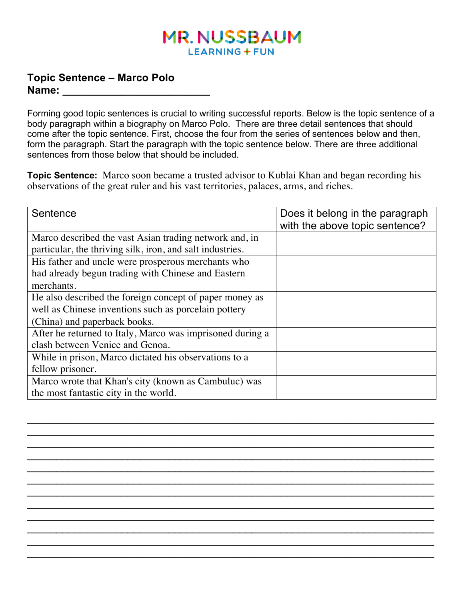## **MR. NUSSBAUM LEARNING + FUN**

## **Topic Sentence – Marco Polo Name: \_\_\_\_\_\_\_\_\_\_\_\_\_\_\_\_\_\_\_\_\_\_\_\_\_**

Forming good topic sentences is crucial to writing successful reports. Below is the topic sentence of a body paragraph within a biography on Marco Polo. There are three detail sentences that should come after the topic sentence. First, choose the four from the series of sentences below and then, form the paragraph. Start the paragraph with the topic sentence below. There are three additional sentences from those below that should be included.

**Topic Sentence:** Marco soon became a trusted advisor to Kublai Khan and began recording his observations of the great ruler and his vast territories, palaces, arms, and riches.

| Sentence                                                  | Does it belong in the paragraph<br>with the above topic sentence? |
|-----------------------------------------------------------|-------------------------------------------------------------------|
| Marco described the vast Asian trading network and, in    |                                                                   |
| particular, the thriving silk, iron, and salt industries. |                                                                   |
| His father and uncle were prosperous merchants who        |                                                                   |
| had already begun trading with Chinese and Eastern        |                                                                   |
| merchants.                                                |                                                                   |
| He also described the foreign concept of paper money as   |                                                                   |
| well as Chinese inventions such as porcelain pottery      |                                                                   |
| (China) and paperback books.                              |                                                                   |
| After he returned to Italy, Marco was imprisoned during a |                                                                   |
| clash between Venice and Genoa.                           |                                                                   |
| While in prison, Marco dictated his observations to a     |                                                                   |
| fellow prisoner.                                          |                                                                   |
| Marco wrote that Khan's city (known as Cambuluc) was      |                                                                   |
| the most fantastic city in the world.                     |                                                                   |

 $\mathcal{L}_\mathcal{L} = \mathcal{L}_\mathcal{L} + \mathcal{L}_\mathcal{L} + \mathcal{L}_\mathcal{L} + \mathcal{L}_\mathcal{L} + \mathcal{L}_\mathcal{L} + \mathcal{L}_\mathcal{L} + \mathcal{L}_\mathcal{L} + \mathcal{L}_\mathcal{L} + \mathcal{L}_\mathcal{L} + \mathcal{L}_\mathcal{L} + \mathcal{L}_\mathcal{L} + \mathcal{L}_\mathcal{L} + \mathcal{L}_\mathcal{L} + \mathcal{L}_\mathcal{L} + \mathcal{L}_\mathcal{L} + \mathcal{L}_\mathcal{L}$  $\mathcal{L}_\mathcal{L} = \mathcal{L}_\mathcal{L} = \mathcal{L}_\mathcal{L} = \mathcal{L}_\mathcal{L} = \mathcal{L}_\mathcal{L} = \mathcal{L}_\mathcal{L} = \mathcal{L}_\mathcal{L} = \mathcal{L}_\mathcal{L} = \mathcal{L}_\mathcal{L} = \mathcal{L}_\mathcal{L} = \mathcal{L}_\mathcal{L} = \mathcal{L}_\mathcal{L} = \mathcal{L}_\mathcal{L} = \mathcal{L}_\mathcal{L} = \mathcal{L}_\mathcal{L} = \mathcal{L}_\mathcal{L} = \mathcal{L}_\mathcal{L}$  $\mathcal{L}_\mathcal{L} = \mathcal{L}_\mathcal{L} + \mathcal{L}_\mathcal{L} + \mathcal{L}_\mathcal{L} + \mathcal{L}_\mathcal{L} + \mathcal{L}_\mathcal{L} + \mathcal{L}_\mathcal{L} + \mathcal{L}_\mathcal{L} + \mathcal{L}_\mathcal{L} + \mathcal{L}_\mathcal{L} + \mathcal{L}_\mathcal{L} + \mathcal{L}_\mathcal{L} + \mathcal{L}_\mathcal{L} + \mathcal{L}_\mathcal{L} + \mathcal{L}_\mathcal{L} + \mathcal{L}_\mathcal{L} + \mathcal{L}_\mathcal{L}$  $\mathcal{L}_\text{max} = \mathcal{L}_\text{max} = \mathcal{L}_\text{max} = \mathcal{L}_\text{max} = \mathcal{L}_\text{max} = \mathcal{L}_\text{max} = \mathcal{L}_\text{max} = \mathcal{L}_\text{max} = \mathcal{L}_\text{max} = \mathcal{L}_\text{max} = \mathcal{L}_\text{max} = \mathcal{L}_\text{max} = \mathcal{L}_\text{max} = \mathcal{L}_\text{max} = \mathcal{L}_\text{max} = \mathcal{L}_\text{max} = \mathcal{L}_\text{max} = \mathcal{L}_\text{max} = \mathcal{$  $\mathcal{L}_\mathcal{L} = \mathcal{L}_\mathcal{L} + \mathcal{L}_\mathcal{L} + \mathcal{L}_\mathcal{L} + \mathcal{L}_\mathcal{L} + \mathcal{L}_\mathcal{L} + \mathcal{L}_\mathcal{L} + \mathcal{L}_\mathcal{L} + \mathcal{L}_\mathcal{L} + \mathcal{L}_\mathcal{L} + \mathcal{L}_\mathcal{L} + \mathcal{L}_\mathcal{L} + \mathcal{L}_\mathcal{L} + \mathcal{L}_\mathcal{L} + \mathcal{L}_\mathcal{L} + \mathcal{L}_\mathcal{L} + \mathcal{L}_\mathcal{L}$  $\mathcal{L}_\mathcal{L} = \mathcal{L}_\mathcal{L} + \mathcal{L}_\mathcal{L} + \mathcal{L}_\mathcal{L} + \mathcal{L}_\mathcal{L} + \mathcal{L}_\mathcal{L} + \mathcal{L}_\mathcal{L} + \mathcal{L}_\mathcal{L} + \mathcal{L}_\mathcal{L} + \mathcal{L}_\mathcal{L} + \mathcal{L}_\mathcal{L} + \mathcal{L}_\mathcal{L} + \mathcal{L}_\mathcal{L} + \mathcal{L}_\mathcal{L} + \mathcal{L}_\mathcal{L} + \mathcal{L}_\mathcal{L} + \mathcal{L}_\mathcal{L}$  $\mathcal{L}_\mathcal{L} = \mathcal{L}_\mathcal{L} + \mathcal{L}_\mathcal{L} + \mathcal{L}_\mathcal{L} + \mathcal{L}_\mathcal{L} + \mathcal{L}_\mathcal{L} + \mathcal{L}_\mathcal{L} + \mathcal{L}_\mathcal{L} + \mathcal{L}_\mathcal{L} + \mathcal{L}_\mathcal{L} + \mathcal{L}_\mathcal{L} + \mathcal{L}_\mathcal{L} + \mathcal{L}_\mathcal{L} + \mathcal{L}_\mathcal{L} + \mathcal{L}_\mathcal{L} + \mathcal{L}_\mathcal{L} + \mathcal{L}_\mathcal{L}$  $\mathcal{L}_\mathcal{L} = \mathcal{L}_\mathcal{L} + \mathcal{L}_\mathcal{L} + \mathcal{L}_\mathcal{L} + \mathcal{L}_\mathcal{L} + \mathcal{L}_\mathcal{L} + \mathcal{L}_\mathcal{L} + \mathcal{L}_\mathcal{L} + \mathcal{L}_\mathcal{L} + \mathcal{L}_\mathcal{L} + \mathcal{L}_\mathcal{L} + \mathcal{L}_\mathcal{L} + \mathcal{L}_\mathcal{L} + \mathcal{L}_\mathcal{L} + \mathcal{L}_\mathcal{L} + \mathcal{L}_\mathcal{L} + \mathcal{L}_\mathcal{L}$  $\mathcal{L}_\mathcal{L} = \mathcal{L}_\mathcal{L} + \mathcal{L}_\mathcal{L} + \mathcal{L}_\mathcal{L} + \mathcal{L}_\mathcal{L} + \mathcal{L}_\mathcal{L} + \mathcal{L}_\mathcal{L} + \mathcal{L}_\mathcal{L} + \mathcal{L}_\mathcal{L} + \mathcal{L}_\mathcal{L} + \mathcal{L}_\mathcal{L} + \mathcal{L}_\mathcal{L} + \mathcal{L}_\mathcal{L} + \mathcal{L}_\mathcal{L} + \mathcal{L}_\mathcal{L} + \mathcal{L}_\mathcal{L} + \mathcal{L}_\mathcal{L}$  $\mathcal{L}_\mathcal{L} = \mathcal{L}_\mathcal{L} + \mathcal{L}_\mathcal{L} + \mathcal{L}_\mathcal{L} + \mathcal{L}_\mathcal{L} + \mathcal{L}_\mathcal{L} + \mathcal{L}_\mathcal{L} + \mathcal{L}_\mathcal{L} + \mathcal{L}_\mathcal{L} + \mathcal{L}_\mathcal{L} + \mathcal{L}_\mathcal{L} + \mathcal{L}_\mathcal{L} + \mathcal{L}_\mathcal{L} + \mathcal{L}_\mathcal{L} + \mathcal{L}_\mathcal{L} + \mathcal{L}_\mathcal{L} + \mathcal{L}_\mathcal{L}$  $\mathcal{L}_\text{max} = \mathcal{L}_\text{max} = \mathcal{L}_\text{max} = \mathcal{L}_\text{max} = \mathcal{L}_\text{max} = \mathcal{L}_\text{max} = \mathcal{L}_\text{max} = \mathcal{L}_\text{max} = \mathcal{L}_\text{max} = \mathcal{L}_\text{max} = \mathcal{L}_\text{max} = \mathcal{L}_\text{max} = \mathcal{L}_\text{max} = \mathcal{L}_\text{max} = \mathcal{L}_\text{max} = \mathcal{L}_\text{max} = \mathcal{L}_\text{max} = \mathcal{L}_\text{max} = \mathcal{$  $\mathcal{L}_\mathcal{L} = \mathcal{L}_\mathcal{L} + \mathcal{L}_\mathcal{L} + \mathcal{L}_\mathcal{L} + \mathcal{L}_\mathcal{L} + \mathcal{L}_\mathcal{L} + \mathcal{L}_\mathcal{L} + \mathcal{L}_\mathcal{L} + \mathcal{L}_\mathcal{L} + \mathcal{L}_\mathcal{L} + \mathcal{L}_\mathcal{L} + \mathcal{L}_\mathcal{L} + \mathcal{L}_\mathcal{L} + \mathcal{L}_\mathcal{L} + \mathcal{L}_\mathcal{L} + \mathcal{L}_\mathcal{L} + \mathcal{L}_\mathcal{L}$